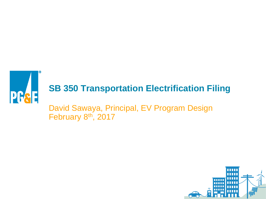

### **SB 350 Transportation Electrification Filing**

David Sawaya, Principal, EV Program Design February 8<sup>th</sup>, 2017

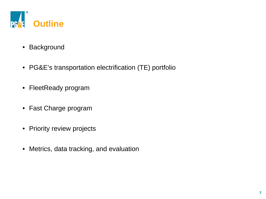

- Background
- PG&E's transportation electrification (TE) portfolio
- FleetReady program
- Fast Charge program
- Priority review projects
- Metrics, data tracking, and evaluation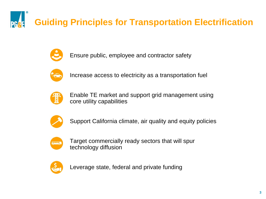**Guiding Principles for Transportation Electrification**



Ensure public, employee and contractor safety



Increase access to electricity as a transportation fuel



Enable TE market and support grid management using core utility capabilities



Support California climate, air quality and equity policies



Target commercially ready sectors that will spur technology diffusion



Leverage state, federal and private funding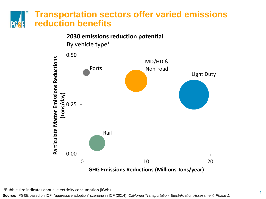#### **Transportation sectors offer varied emissions reduction benefits PG** e la



1Bubble size indicates annual electricity consumption (kWh)

**Source:** PG&E based on ICF, "aggressive adoption" scenario in ICF (2014), *California Transportation Electrification Assessment: Phase 1*.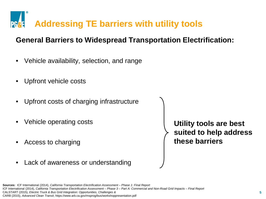

### **General Barriers to Widespread Transportation Electrification:**

- Vehicle availability, selection, and range
- Upfront vehicle costs
- Upfront costs of charging infrastructure
- Vehicle operating costs
- Access to charging
- Lack of awareness or understanding

**Utility tools are best suited to help address these barriers**

**Sources:** ICF International (2014), *California Transportation Electrification Assessment – Phase 1: Final Report* ICF International (2014), *California Transportation Electrification Assessment – Phase 3 – Part A: Commercial and Non-Road Grid Impacts – Final Report* CALSTART (2015), *Electric Truck & Bus Grid Integration: Opportunities, Challenges &*  CARB (2015), *Advanced Clean Transit*, https://www.arb.ca.gov/msprog/bus/workshoppresentation.pdf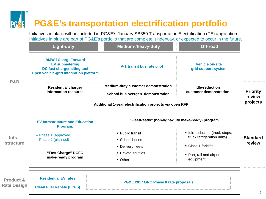### **PG&E's transportation electrification portfolio**

Initiatives in black will be included in PG&E's January SB350 Transportation Electrification (TE) application. Initiatives in blue are part of PG&E's portfolio that are complete, underway, or expected to occur in the future.

|                                 | <b>Light-duty</b>                                                                                                            | <b>Medium-/heavy-duty</b>                                               | Off-road                                                     |                    |
|---------------------------------|------------------------------------------------------------------------------------------------------------------------------|-------------------------------------------------------------------------|--------------------------------------------------------------|--------------------|
| R&D                             | <b>BMW i ChargeForward</b><br><b>EV submetering</b><br>DC fast charger siting tool<br>Open vehicle-grid integration platform | A-1 transit bus rate pilot                                              | <b>Vehicle on-site</b><br>grid support system                |                    |
|                                 | <b>Residential charger</b><br>information resource                                                                           | Medium-duty customer demonstration<br>School bus overgen. demonstration | Idle-reduction<br>customer demonstration                     | <b>Priority</b>    |
|                                 | Additional 1-year electrification projects via open RFP                                                                      |                                                                         |                                                              | review<br>projects |
| Infra-<br>structure             | <b>EV Infrastructure and Education</b><br>Program:                                                                           | "FleetReady" (non-light-duty make-ready) program                        |                                                              |                    |
|                                 | - Phase 1 (approved)<br>- Phase 2 (planned)                                                                                  | • Public transit<br>School buses                                        | · Idle-reduction (truck-stops,<br>truck refrigeration units) | <b>Standard</b>    |
|                                 | "Fast Charge" DCFC<br>make-ready program                                                                                     | • Delivery fleets<br>• Private shuttles<br>• Other                      | • Class 1 forklifts<br>• Port, rail and airport<br>equipment | review             |
| Product &<br><b>Rate Design</b> | <b>Residential EV rates</b><br><b>Clean Fuel Rebate (LCFS)</b>                                                               | PG&E 2017 GRC Phase II rate proposals                                   |                                                              | 6                  |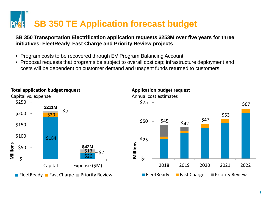# **SB 350 TE Application forecast budget**

#### **SB 350 Transportation Electrification application requests \$253M over five years for three initiatives: FleetReady, Fast Charge and Priority Review projects**

- Program costs to be recovered through EV Program Balancing Account
- Proposal requests that programs be subject to overall cost cap; infrastructure deployment and costs will be dependent on customer demand and unspent funds returned to customers



**Application budget request**

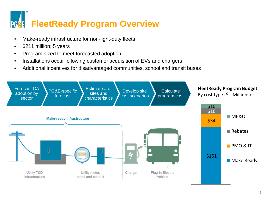# **PRSE FleetReady Program Overview**

- Make-ready infrastructure for non-light-duty fleets
- \$211 million; 5 years
- Program sized to meet forecasted adoption
- Installations occur following customer acquisition of EVs and chargers
- Additional incentives for disadvantaged communities, school and transit buses

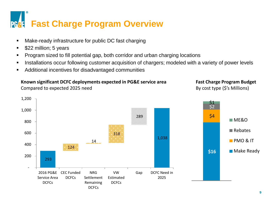# **PF&F** Fast Charge Program Overview

- Make-ready infrastructure for public DC fast charging
- **5** \$22 million; 5 years
- Program sized to fill potential gap, both corridor and urban charging locations
- Installations occur following customer acquisition of chargers; modeled with a variety of power levels
- Additional incentives for disadvantaged communities

#### **Known significant DCFC deployments expected in PG&E service area**

Compared to expected 2025 need

#### **Fast Charge Program Budget** By cost type (\$'s Millions)

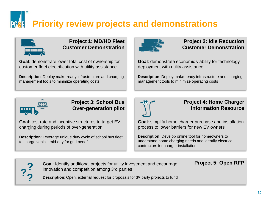# **Priority review projects and demonstrations**



#### **Project 1: MD/HD Fleet Customer Demonstration**

**Goal**: demonstrate lower total cost of ownership for customer fleet electrification with utility assistance

**Description**: Deploy make-ready infrastructure and charging management tools to minimize operating costs



#### **Project 2: Idle Reduction Customer Demonstration**

**Goal**: demonstrate economic viability for technology deployment with utility assistance

**Description**: Deploy make-ready infrastructure and charging management tools to minimize operating costs



#### **Project 3: School Bus Over-generation pilot**

**Goal**: test rate and incentive structures to target EV charging during periods of over-generation

**Description**: Leverage unique duty cycle of school bus fleet to charge vehicle mid-day for grid benefit



#### **Project 4: Home Charger Information Resource**

**Project 5: Open RFP**

**Goal**: simplify home charger purchase and installation process to lower barriers for new EV owners

**Description:** Develop online tool for homeowners to understand home charging needs and identify electrical contractors for charger installation



**Goal**: Identify additional projects for utility investment and encourage innovation and competition among 3rd parties

**Description**: Open, external request for proposals for 3<sup>rd</sup> party projects to fund